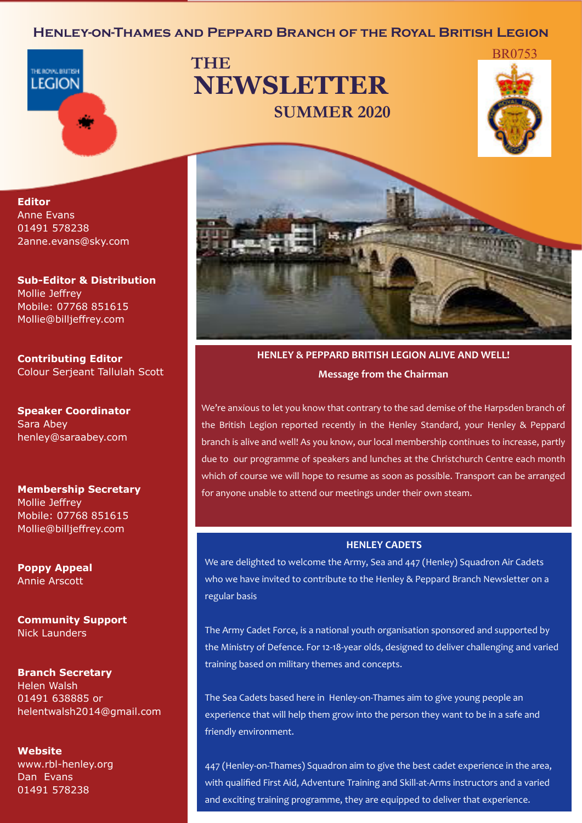### **Henley-on-Thames and Peppard Branch of the Royal British Legion**

**THE**



THE ROVAL BRITISH **LEGION** 

**Sub-Editor & Distribution** Mollie Jeffrey Mobile: 07768 851615 Mollie@billjeffrey.com

**Contributing Editor** Colour Serjeant Tallulah Scott

**Speaker Coordinator** Sara Abey henley@saraabey.com

**Membership Secretary** Mollie Jeffrey Mobile: 07768 851615 Mollie@billjeffrey.com

**Poppy Appeal** Annie Arscott

**Community Support** Nick Launders

**Branch Secretary** Helen Walsh 01491 638885 or helentwalsh2014@gmail.com

**Website** www.rbl-henley.org Dan Evans 01491 578238



BR0753

**HENLEY & PEPPARD BRITISH LEGION ALIVE AND WELL! Message from the Chairman**

We're anxious to let you know that contrary to the sad demise of the Harpsden branch of the British Legion reported recently in the Henley Standard, your Henley & Peppard branch is alive and well! As you know, our local membership continues to increase, partly due to our programme of speakers and lunches at the Christchurch Centre each month which of course we will hope to resume as soon as possible. Transport can be arranged for anyone unable to attend our meetings under their own steam.

### **HENLEY CADETS**

We are delighted to welcome the Army, Sea and 447 (Henley) Squadron Air Cadets who we have invited to contribute to the Henley & Peppard Branch Newsletter on a regular basis

The Army Cadet Force, is a national youth organisation sponsored and supported by the Ministry of Defence. For 12-18-year olds, designed to deliver challenging and varied training based on military themes and concepts.

The Sea Cadets based here in Henley-on-Thames aim to give young people an experience that will help them grow into the person they want to be in a safe and friendly environment.

447 (Henley-on-Thames) Squadron aim to give the best cadet experience in the area, with qualified First Aid, Adventure Training and Skill-at-Arms instructors and a varied and exciting training programme, they are equipped to deliver that experience.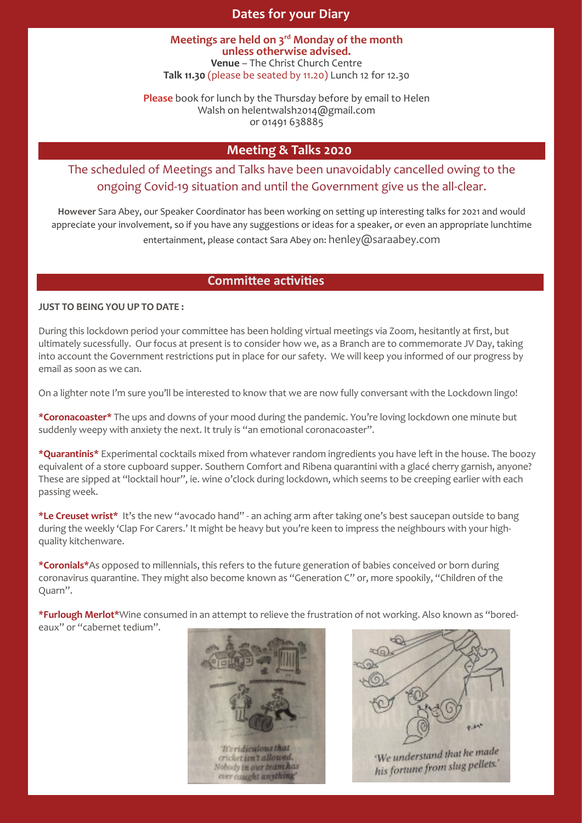### **Dates for your Diary**

#### **Meetings are held on 3rd Monday of the month unless otherwise advised. Venue** – The Christ Church Centre **Talk 11.30** (please be seated by 11.20) Lunch 12 for 12.30

**Please** book for lunch by the Thursday before by email to Helen Walsh on helentwalsh2014@gmail.com or 01491 638885

### **Meeting & Talks 2020**

## The scheduled of Meetings and Talks have been unavoidably cancelled owing to the ongoing Covid-19 situation and until the Government give us the all-clear.

**However** Sara Abey, our Speaker Coordinator has been working on setting up interesting talks for 2021 and would appreciate your involvement, so if you have any suggestions or ideas for a speaker, or even an appropriate lunchtime entertainment, please contact Sara Abey on: henley@saraabey.com

### **Committee activities**

### **JUST TO BEING YOU UP TO DATE :**

During this lockdown period your committee has been holding virtual meetings via Zoom, hesitantly at first, but ultimately sucessfully. Our focus at present is to consider how we, as a Branch are to commemorate JV Day, taking into account the Government restrictions put in place for our safety. We will keep you informed of our progress by email as soon as we can.

On a lighter note I'm sure you'll be interested to know that we are now fully conversant with the Lockdown lingo!

**\*Coronacoaster\*** The ups and downs of your mood during the pandemic. You're loving lockdown one minute but suddenly weepy with anxiety the next. It truly is "an emotional coronacoaster".

**\*Quarantinis\*** Experimental cocktails mixed from whatever random ingredients you have left in the house. The boozy equivalent of a store cupboard supper. Southern Comfort and Ribena quarantini with a glacé cherry garnish, anyone? These are sipped at "locktail hour", ie. wine o'clock during lockdown, which seems to be creeping earlier with each passing week.

**\*Le Creuset wrist\*** It's the new "avocado hand" - an aching arm after taking one's best saucepan outside to bang during the weekly 'Clap For Carers.' It might be heavy but you're keen to impress the neighbours with your highquality kitchenware.

**\*Coronials\***As opposed to millennials, this refers to the future generation of babies conceived or born during coronavirus quarantine. They might also become known as "Generation C" or, more spookily, "Children of the Quarn".

**\*Furlough Merlot\***Wine consumed in an attempt to relieve the frustration of not working. Also known as "boredeaux" or "cabernet tedium".



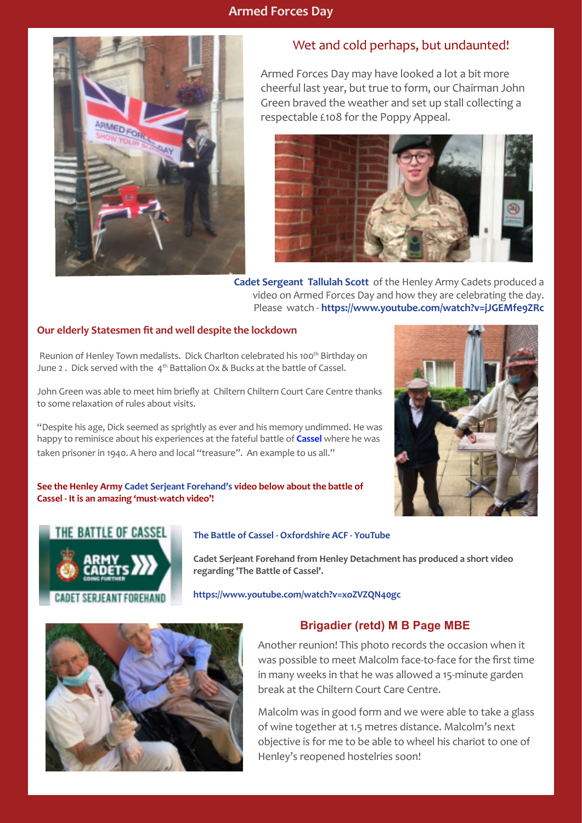

### Wet and cold perhaps, but undaunted!

Armed Forces Day may have looked a lot a bit more cheerful last year, but true to form, our Chairman John Green braved the weather and set up stall collecting a respectable £108 for the Poppy Appeal.



**Cadet Sergeant Tallulah Scott** of the Henley Army Cadets produced a video on Armed Forces Day and how they are celebrating the day. Please watch - **https://www.youtube.com/watch?v=jJGEMfe9ZRc**

### **Our elderly Statesmen fit and well despite the lockdown**

Reunion of Henley Town medalists. Dick Charlton celebrated his 100<sup>th</sup> Birthday on June 2. Dick served with the 4<sup>th</sup> Battalion Ox & Bucks at the battle of Cassel.

John Green was able to meet him briefly at Chiltern Chiltern Court Care Centre thanks to some relaxation of rules about visits.

"Despite his age, Dick seemed as sprightly as ever and his memory undimmed. He was happy to reminisce about his experiences at the fateful battle of **Cassel** where he was taken prisoner in 1940. A hero and local "treasure". An example to us all."



**See the Henley Army Cadet Serjeant Forehand's video below about the battle of Cassel - It is an amazing 'must-watch video'!**



### **The Battle of Cassel - Oxfordshire ACF - YouTube**

**Cadet Serjeant Forehand from Henley Detachment has produced a short video regarding 'The Battle of Cassel'.**

**https://www.youtube.com/watch?v=xoZVZQN40gc**



### **Brigadier (retd) M B Page MBE**

Another reunion! This photo records the occasion when it was possible to meet Malcolm face-to-face for the first time in many weeks in that he was allowed a 15-minute garden break at the Chiltern Court Care Centre.

Malcolm was in good form and we were able to take a glass of wine together at 1.5 metres distance. Malcolm's next objective is for me to be able to wheel his chariot to one of Henley's reopened hostelries soon!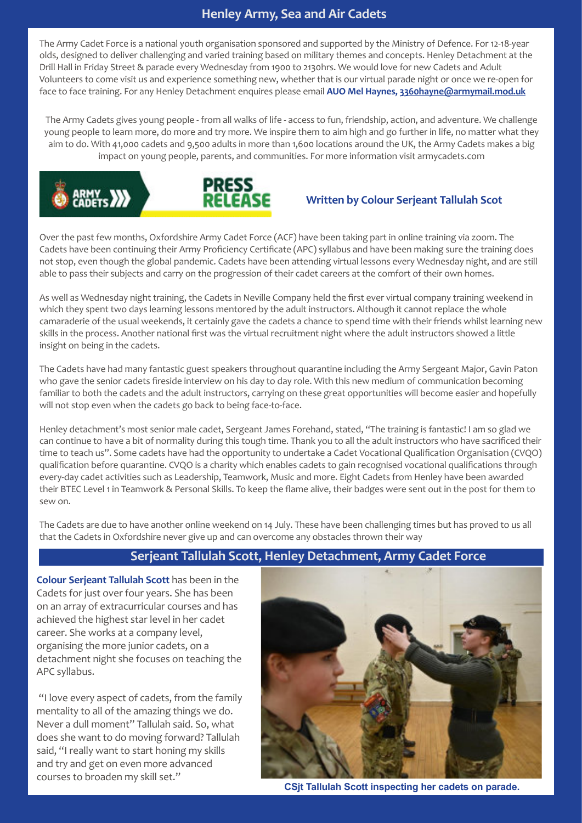#### **Henley Detachment, Army Cadets Henley Army, Sea and Air Cadets**

The Army Cadet Force is a national youth organisation sponsored and supported by the Ministry of Defence. For 12-18-year olds, designed to deliver challenging and varied training based on military themes and concepts. Henley Detachment at the Drill Hall in Friday Street & parade every Wednesday from 1900 to 2130hrs. We would love for new Cadets and Adult Volunteers to come visit us and experience something new, whether that is our virtual parade night or once we re-open for face to face training. For any Henley Detachment enquires please email **AUO Mel Haynes, 3360hayne@armymail.mod.uk**

The Army Cadets gives young people - from all walks of life - access to fun, friendship, action, and adventure. We challenge young people to learn more, do more and try more. We inspire them to aim high and go further in life, no matter what they aim to do. With 41,000 cadets and 9,500 adults in more than 1,600 locations around the UK, the Army Cadets makes a big impact on young people, parents, and communities. For more information visit armycadets.com



### **Written by Colour Serjeant Tallulah Scot**

Over the past few months, Oxfordshire Army Cadet Force (ACF) have been taking part in online training via zoom. The Cadets have been continuing their Army Proficiency Certificate (APC) syllabus and have been making sure the training does not stop, even though the global pandemic. Cadets have been attending virtual lessons every Wednesday night, and are still able to pass their subjects and carry on the progression of their cadet careers at the comfort of their own homes.

As well as Wednesday night training, the Cadets in Neville Company held the first ever virtual company training weekend in which they spent two days learning lessons mentored by the adult instructors. Although it cannot replace the whole camaraderie of the usual weekends, it certainly gave the cadets a chance to spend time with their friends whilst learning new skills in the process. Another national first was the virtual recruitment night where the adult instructors showed a little insight on being in the cadets.

The Cadets have had many fantastic guest speakers throughout quarantine including the Army Sergeant Major, Gavin Paton who gave the senior cadets fireside interview on his day to day role. With this new medium of communication becoming familiar to both the cadets and the adult instructors, carrying on these great opportunities will become easier and hopefully will not stop even when the cadets go back to being face-to-face.

Henley detachment's most senior male cadet, Sergeant James Forehand, stated, "The training is fantastic! I am so glad we can continue to have a bit of normality during this tough time. Thank you to all the adult instructors who have sacrificed their time to teach us". Some cadets have had the opportunity to undertake a Cadet Vocational Qualification Organisation (CVQO) qualification before quarantine. CVQO is a charity which enables cadets to gain recognised vocational qualifications through every-day cadet activities such as Leadership, Teamwork, Music and more. Eight Cadets from Henley have been awarded their BTEC Level 1 in Teamwork & Personal Skills. To keep the flame alive, their badges were sent out in the post for them to sew on.

The Cadets are due to have another online weekend on 14 July. These have been challenging times but has proved to us all that the Cadets in Oxfordshire never give up and can overcome any obstacles thrown their way

### **Serjeant Tallulah Scott, Henley Detachment, Army Cadet Force**

**Colour Serjeant Tallulah Scott** has been in the Cadets for just over four years. She has been on an array of extracurricular courses and has achieved the highest star level in her cadet career. She works at a company level, organising the more junior cadets, on a detachment night she focuses on teaching the APC syllabus.

"I love every aspect of cadets, from the family mentality to all of the amazing things we do. Never a dull moment" Tallulah said. So, what does she want to do moving forward? Tallulah said, "I really want to start honing my skills and try and get on even more advanced courses to broaden my skill set."



**CSjt Tallulah Scott inspecting her cadets on parade.**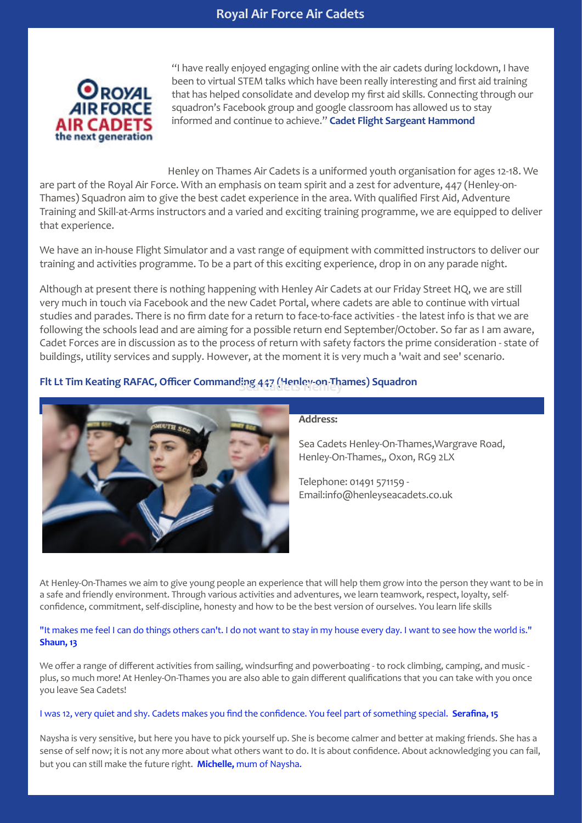

"I have really enjoyed engaging online with the air cadets during lockdown, I have been to virtual STEM talks which have been really interesting and first aid training that has helped consolidate and develop my first aid skills. Connecting through our squadron's Facebook group and google classroom has allowed us to stay informed and continue to achieve." **Cadet Flight Sargeant Hammond**

Henley on Thames Air Cadets is a uniformed youth organisation for ages 12-18. We are part of the Royal Air Force. With an emphasis on team spirit and a zest for adventure, 447 (Henley-on-Thames) Squadron aim to give the best cadet experience in the area. With qualified First Aid, Adventure Training and Skill-at-Arms instructors and a varied and exciting training programme, we are equipped to deliver that experience.

We have an in-house Flight Simulator and a vast range of equipment with committed instructors to deliver our training and activities programme. To be a part of this exciting experience, drop in on any parade night.

Although at present there is nothing happening with Henley Air Cadets at our Friday Street HQ, we are still very much in touch via Facebook and the new Cadet Portal, where cadets are able to continue with virtual studies and parades. There is no firm date for a return to face-to-face activities - the latest info is that we are following the schools lead and are aiming for a possible return end September/October. So far as I am aware, Cadet Forces are in discussion as to the process of return with safety factors the prime consideration - state of buildings, utility services and supply. However, at the moment it is very much a 'wait and see' scenario.

# **Flt Lt Tim Keating RAFAC, Officer Commanding 447 (Henley-on-Thames) Squadron Sea Cadets Henley**



### **Address:**

Sea Cadets Henley-On-Thames,Wargrave Road, Henley-On-Thames,, Oxon, RG9 2LX

Telephone: 01491 571159 - Email:info@henleyseacadets.co.uk

At Henley-On-Thames we aim to give young people an experience that will help them grow into the person they want to be in a safe and friendly environment. Through various activities and adventures, we learn teamwork, respect, loyalty, selfconfidence, commitment, self-discipline, honesty and how to be the best version of ourselves. You learn life skills

#### "It makes me feel I can do things others can't. I do not want to stay in my house every day. I want to see how the world is." **Shaun, 13**

We offer a range of different activities from sailing, windsurfing and powerboating - to rock climbing, camping, and music plus, so much more! At Henley-On-Thames you are also able to gain different qualifications that you can take with you once you leave Sea Cadets!

#### I was 12, very quiet and shy. Cadets makes you find the confidence. You feel part of something special. **Serafina, 15**

Naysha is very sensitive, but here you have to pick yourself up. She is become calmer and better at making friends. She has a sense of self now; it is not any more about what others want to do. It is about confidence. About acknowledging you can fail, but you can still make the future right. **Michelle,** mum of Naysha.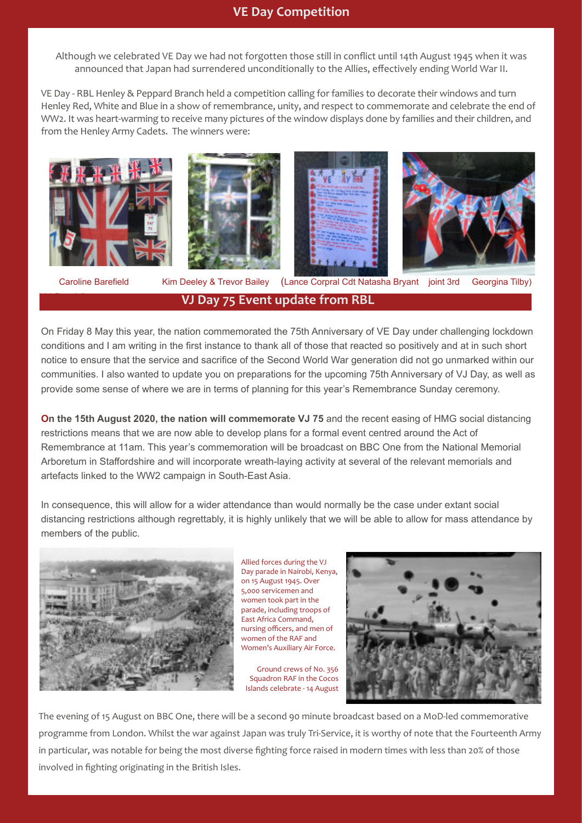### **VE Day Competition**

Although we celebrated VE Day we had not forgotten those still in conflict until 14th August 1945 when it was announced that Japan had surrendered unconditionally to the Allies, effectively ending World War II.

VE Day - RBL Henley & Peppard Branch held a competition calling for families to decorate their windows and turn Henley Red, White and Blue in a show of remembrance, unity, and respect to commemorate and celebrate the end of WW2. It was heart-warming to receive many pictures of the window displays done by families and their children, and from the Henley Army Cadets. The winners were:



VJ Day 75 Event update from RBL

On Friday 8 May this year, the nation commemorated the 75th Anniversary of VE Day under challenging lockdown conditions and I am writing in the first instance to thank all of those that reacted so positively and at in such short notice to ensure that the service and sacrifice of the Second World War generation did not go unmarked within our communities. I also wanted to update you on preparations for the upcoming 75th Anniversary of VJ Day, as well as provide some sense of where we are in terms of planning for this year's Remembrance Sunday ceremony.

**On the 15th August 2020, the nation will commemorate VJ 75** and the recent easing of HMG social distancing restrictions means that we are now able to develop plans for a formal event centred around the Act of Remembrance at 11am. This year's commemoration will be broadcast on BBC One from the National Memorial Arboretum in Staffordshire and will incorporate wreath-laying activity at several of the relevant memorials and artefacts linked to the WW2 campaign in South-East Asia.

In consequence, this will allow for a wider attendance than would normally be the case under extant social distancing restrictions although regrettably, it is highly unlikely that we will be able to allow for mass attendance by members of the public.



Allied forces during the VJ Day parade in Nairobi, Kenya, on 15 August 1945. Over 5,000 servicemen and women took part in the parade, including troops of East Africa Command, nursing officers, and men of women of the RAF and Women's Auxiliary Air Force.

Ground crews of No. 356 Squadron RAF in the Cocos Islands celebrate - 14 August



The evening of 15 August on BBC One, there will be a second 90 minute broadcast based on a MoD-led commemorative programme from London. Whilst the war against Japan was truly Tri-Service, it is worthy of note that the Fourteenth Army in particular, was notable for being the most diverse fighting force raised in modern times with less than 20% of those involved in fighting originating in the British Isles.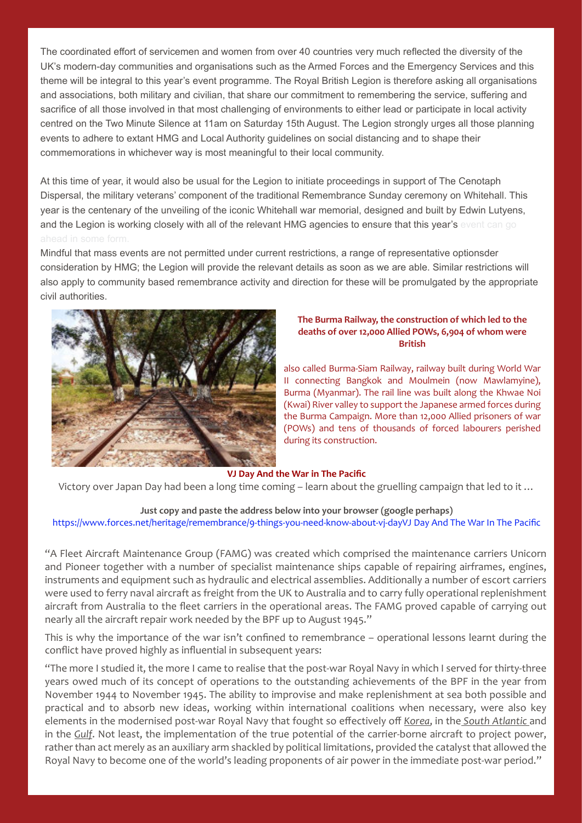The coordinated effort of servicemen and women from over 40 countries very much reflected the diversity of the UK's modern-day communities and organisations such as the Armed Forces and the Emergency Services and this theme will be integral to this year's event programme. The Royal British Legion is therefore asking all organisations and associations, both military and civilian, that share our commitment to remembering the service, suffering and sacrifice of all those involved in that most challenging of environments to either lead or participate in local activity centred on the Two Minute Silence at 11am on Saturday 15th August. The Legion strongly urges all those planning events to adhere to extant HMG and Local Authority guidelines on social distancing and to shape their commemorations in whichever way is most meaningful to their local community.

At this time of year, it would also be usual for the Legion to initiate proceedings in support of The Cenotaph Dispersal, the military veterans' component of the traditional Remembrance Sunday ceremony on Whitehall. This year is the centenary of the unveiling of the iconic Whitehall war memorial, designed and built by Edwin Lutyens, and the Legion is working closely with all of the relevant HMG agencies to ensure that this year's event can go

Mindful that mass events are not permitted under current restrictions, a range of representative optionsder consideration by HMG; the Legion will provide the relevant details as soon as we are able. Similar restrictions will also apply to community based remembrance activity and direction for these will be promulgated by the appropriate civil authorities.



#### **The Burma Railway, the construction of which led to the deaths of over 12,000 Allied POWs, 6,904 of whom were British**

also called Burma-Siam Railway, railway built during World War II connecting Bangkok and Moulmein (now Mawlamyine), Burma (Myanmar). The rail line was built along the Khwae Noi (Kwai) River valley to support the Japanese armed forces during the Burma Campaign. More than 12,000 Allied prisoners of war (POWs) and tens of thousands of forced labourers perished during its construction.

#### **VJ Day And the War in The Pacific**

Victory over Japan Day had been a long time coming – learn about the gruelling campaign that led to it …

### **Just copy and paste the address below into your browser (google perhaps)**

### https://www.forces.net/heritage/remembrance/9-things-you-need-know-about-vj-dayVJ Day And The War In The Pacific

"A Fleet Aircraft Maintenance Group (FAMG) was created which comprised the maintenance carriers Unicorn and Pioneer together with a number of specialist maintenance ships capable of repairing airframes, engines, instruments and equipment such as hydraulic and electrical assemblies. Additionally a number of escort carriers were used to ferry naval aircraft as freight from the UK to Australia and to carry fully operational replenishment aircraft from Australia to the fleet carriers in the operational areas. The FAMG proved capable of carrying out nearly all the aircraft repair work needed by the BPF up to August 1945."

This is why the importance of the war isn't confined to remembrance – operational lessons learnt during the conflict have proved highly as influential in subsequent years:

"The more I studied it, the more I came to realise that the post-war Royal Navy in which I served for thirty-three years owed much of its concept of operations to the outstanding achievements of the BPF in the year from November 1944 to November 1945. The ability to improvise and make replenishment at sea both possible and practical and to absorb new ideas, working within international coalitions when necessary, were also key elements in the modernised post-war Royal Navy that fought so effectively off *Korea*, in the *South Atlantic* and in the *Gulf*. Not least, the implementation of the true potential of the carrier-borne aircraft to project power, rather than act merely as an auxiliary arm shackled by political limitations, provided the catalyst that allowed the Royal Navy to become one of the world's leading proponents of air power in the immediate post-war period."